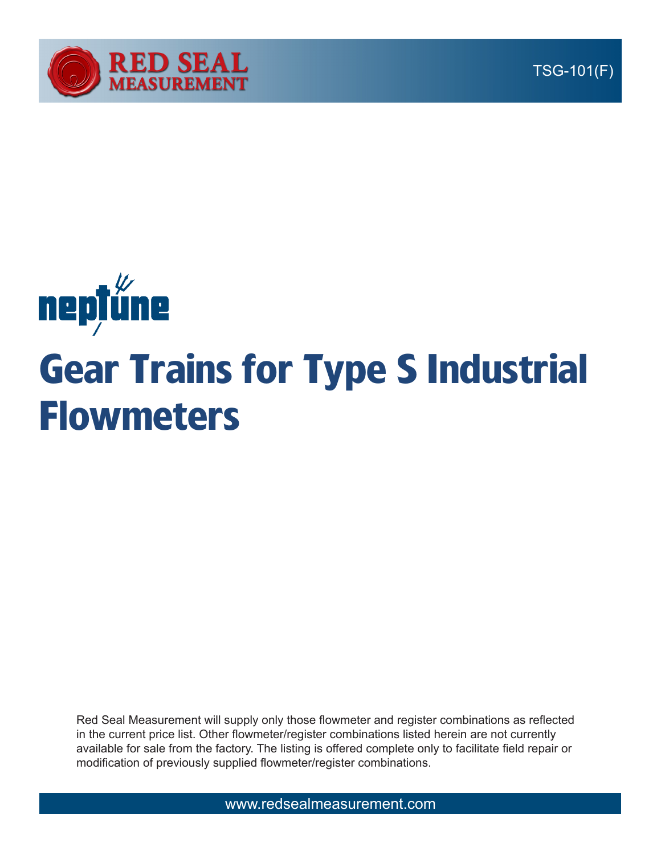





Red Seal Measurement will supply only those flowmeter and register combinations as reflected in the current price list. Other flowmeter/register combinations listed herein are not currently available for sale from the factory. The listing is offered complete only to facilitate field repair or modification of previously supplied flowmeter/register combinations.

www.redsealmeasurement.com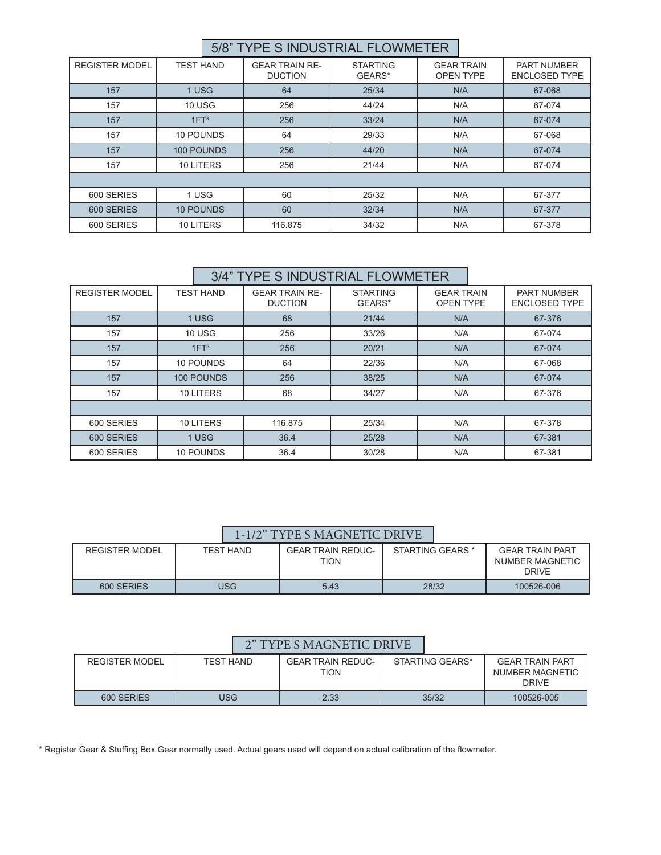# 5/8" TYPE S INDUSTRIAL FLOWMETER

| <b>REGISTER MODEL</b> | <b>TEST HAND</b>     | <b>GEAR TRAIN RE-</b><br><b>DUCTION</b> | <b>STARTING</b><br>GEARS* | <b>GEAR TRAIN</b><br><b>OPEN TYPE</b> | <b>PART NUMBER</b><br><b>ENCLOSED TYPE</b> |
|-----------------------|----------------------|-----------------------------------------|---------------------------|---------------------------------------|--------------------------------------------|
| 157                   | 1 USG                | 64                                      | 25/34                     | N/A                                   | 67-068                                     |
| 157                   | <b>10 USG</b><br>256 |                                         | 44/24                     | N/A                                   | 67-074                                     |
| 157                   | 1FT <sup>3</sup>     | 256                                     | 33/24                     | N/A                                   | 67-074                                     |
| 157                   | 10 POUNDS            | 64                                      | 29/33                     | N/A                                   | 67-068                                     |
| 157                   | 100 POUNDS           | 256                                     | 44/20                     | N/A                                   | 67-074                                     |
| 157                   | 10 LITERS            | 256                                     | 21/44                     | N/A                                   | 67-074                                     |
|                       |                      |                                         |                           |                                       |                                            |
| 600 SERIES            | 1 USG                | 60                                      | 25/32                     | N/A                                   | 67-377                                     |
| 600 SERIES            | 10 POUNDS            | 60                                      | 32/34                     | N/A                                   | 67-377                                     |
| 600 SERIES            | 10 LITERS            | 116.875                                 | 34/32                     | N/A                                   | 67-378                                     |

#### 3/4" TYPE S INDUSTRIAL FLOWMETER

| <b>REGISTER MODEL</b> | <b>TEST HAND</b> | <b>GEAR TRAIN RE-</b><br><b>DUCTION</b> | <b>STARTING</b><br>GEARS* | <b>GEAR TRAIN</b><br><b>OPEN TYPE</b> | <b>PART NUMBER</b><br><b>ENCLOSED TYPE</b> |
|-----------------------|------------------|-----------------------------------------|---------------------------|---------------------------------------|--------------------------------------------|
| 157                   | 1 USG            | 68                                      | 21/44                     | N/A                                   | 67-376                                     |
| 157                   | <b>10 USG</b>    | 256                                     | 33/26                     | N/A                                   | 67-074                                     |
| 157                   | 1FT <sup>3</sup> | 256                                     | 20/21                     | N/A                                   | 67-074                                     |
| 157                   | 10 POUNDS        | 64                                      | 22/36                     | N/A                                   | 67-068                                     |
| 157                   | 100 POUNDS       | 256                                     | 38/25                     | N/A                                   | 67-074                                     |
| 157                   | 10 LITERS        | 68                                      | 34/27                     | N/A                                   | 67-376                                     |
|                       |                  |                                         |                           |                                       |                                            |
| 600 SERIES            | 10 LITERS        | 116.875                                 | 25/34                     | N/A                                   | 67-378                                     |
| 600 SERIES            | 1 USG            | 36.4                                    | 25/28                     | N/A                                   | 67-381                                     |
| 600 SERIES            | 10 POUNDS        | 36.4                                    | 30/28                     | N/A                                   | 67-381                                     |

### 1-1/2" TYPE S MAGNETIC DRIVE

| <b>REGISTER MODEL</b> | <b>TEST HAND</b> | <b>GEAR TRAIN REDUC-</b><br><b>TION</b> | STARTING GEARS * | <b>GEAR TRAIN PART</b><br>NUMBER MAGNETIC<br><b>DRIVE</b> |
|-----------------------|------------------|-----------------------------------------|------------------|-----------------------------------------------------------|
| 600 SERIES            | JSG              | 5.43                                    | 28/32            | 100526-006                                                |

## 2" TYPE S MAGNETIC DRIVE

| <b>REGISTER MODEL</b> | <b>TEST HAND</b> | <b>GEAR TRAIN REDUC-</b><br>TION | STARTING GEARS* | <b>GEAR TRAIN PART</b><br>NUMBER MAGNETIC<br><b>DRIVE</b> |
|-----------------------|------------------|----------------------------------|-----------------|-----------------------------------------------------------|
| 600 SERIES            | USG              | 2.33                             | 35/32           | 100526-005                                                |

\* Register Gear & Stuffing Box Gear normally used. Actual gears used will depend on actual calibration of the flowmeter.

I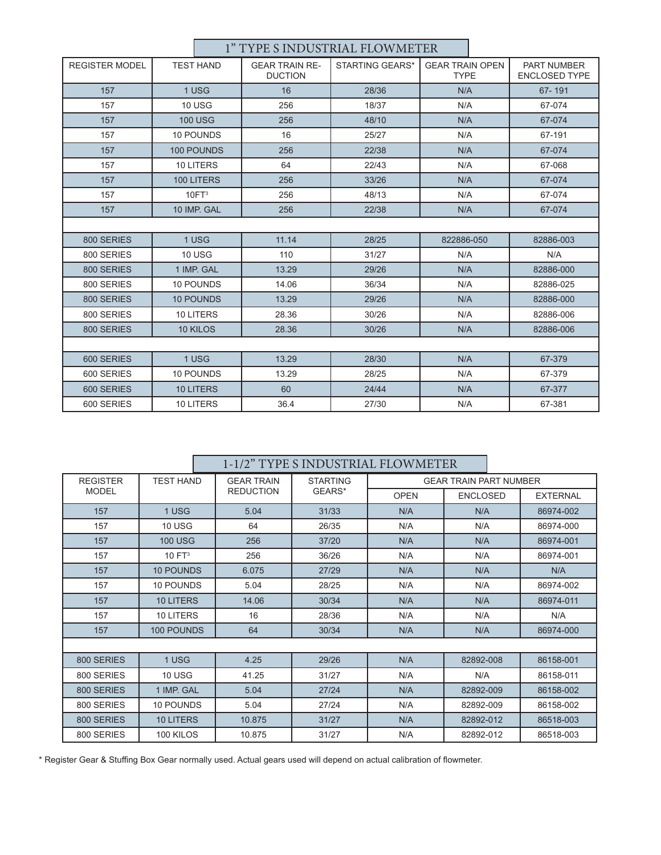|                       |                        |                   | 1" TYPE S INDUSTRIAL FLOWMETER          |                 |                                       |     |                                     |           |
|-----------------------|------------------------|-------------------|-----------------------------------------|-----------------|---------------------------------------|-----|-------------------------------------|-----------|
| <b>REGISTER MODEL</b> | <b>TEST HAND</b>       |                   | <b>GEAR TRAIN RE-</b><br><b>DUCTION</b> | STARTING GEARS* | <b>GEAR TRAIN OPEN</b><br><b>TYPE</b> |     | PART NUMBER<br><b>ENCLOSED TYPE</b> |           |
| 157                   |                        | 1 USG             | 16                                      | 28/36           | N/A                                   |     | 67-191                              |           |
| 157                   |                        | <b>10 USG</b>     | 256                                     | 18/37           | N/A                                   |     | 67-074                              |           |
| 157                   |                        | <b>100 USG</b>    | 256                                     | 48/10           | N/A                                   |     | 67-074                              |           |
| 157                   |                        | 10 POUNDS         | 16                                      | 25/27           | N/A                                   |     | 67-191                              |           |
| 157                   |                        | 100 POUNDS        | 256                                     | 22/38           | N/A                                   |     | 67-074                              |           |
| 157                   |                        | 10 LITERS         | 64                                      | 22/43           | N/A                                   |     | 67-068                              |           |
| 157                   |                        | 100 LITERS        | 256                                     | 33/26           | N/A                                   |     | 67-074                              |           |
| 157                   |                        | 10FT <sup>3</sup> | 256                                     | 48/13           | N/A                                   |     | 67-074                              |           |
| 157                   | 10 IMP. GAL            |                   | 256<br>22/38                            |                 | N/A                                   |     | 67-074                              |           |
|                       |                        |                   |                                         |                 |                                       |     |                                     |           |
| 800 SERIES            |                        | 1 USG<br>11.14    |                                         | 28/25           | 822886-050                            |     | 82886-003                           |           |
| 800 SERIES            |                        | <b>10 USG</b>     | 110                                     | 31/27           | N/A                                   |     | N/A                                 |           |
| 800 SERIES            |                        | 1 IMP. GAL        | 13.29                                   | 29/26           | N/A                                   |     | 82886-000                           |           |
| 800 SERIES            |                        | 10 POUNDS         | 14.06                                   | 36/34           | N/A                                   |     | 82886-025                           |           |
| 800 SERIES            |                        | <b>10 POUNDS</b>  | 13.29                                   | 29/26           | N/A                                   |     | 82886-000                           |           |
| 800 SERIES            |                        | 10 LITERS         | 28.36                                   | 30/26           | N/A                                   |     | 82886-006                           |           |
| 800 SERIES            | 10 KILOS               |                   | 28.36                                   |                 | 30/26                                 | N/A |                                     | 82886-006 |
|                       |                        |                   |                                         |                 |                                       |     |                                     |           |
| 600 SERIES            |                        | 1 USG             | 13.29                                   | 28/30           | N/A                                   |     | 67-379                              |           |
| 600 SERIES            |                        | 10 POUNDS         | 13.29                                   | 28/25           | N/A                                   |     | 67-379                              |           |
| 600 SERIES            | 60<br><b>10 LITERS</b> |                   |                                         | 24/44           | N/A                                   |     | 67-377                              |           |
| 600 SERIES            |                        | 10 LITERS         | 36.4                                    | 27/30           | N/A                                   |     | 67-381                              |           |

|                 |                    |  | 1-1/2" TYPE S INDUSTRIAL FLOWMETER |                 |             |                 |                               |                 |
|-----------------|--------------------|--|------------------------------------|-----------------|-------------|-----------------|-------------------------------|-----------------|
| <b>REGISTER</b> | <b>TEST HAND</b>   |  | <b>GEAR TRAIN</b>                  | <b>STARTING</b> |             |                 | <b>GEAR TRAIN PART NUMBER</b> |                 |
| <b>MODEL</b>    |                    |  | <b>REDUCTION</b>                   | GEARS*          | <b>OPEN</b> | <b>ENCLOSED</b> |                               | <b>EXTERNAL</b> |
| 157             | 1 USG              |  | 5.04                               | 31/33           | N/A         | N/A             |                               | 86974-002       |
| 157             | <b>10 USG</b>      |  | 64                                 | 26/35           | N/A         | N/A             |                               | 86974-000       |
| 157             | <b>100 USG</b>     |  | 256                                | 37/20           | N/A         | N/A             |                               | 86974-001       |
| 157             | 10 FT <sup>3</sup> |  | 256                                | 36/26           | N/A         | N/A             |                               | 86974-001       |
| 157             | <b>10 POUNDS</b>   |  | 6.075                              | 27/29           | N/A         | N/A             |                               | N/A             |
| 157             | 10 POUNDS          |  | 5.04                               | 28/25           | N/A         | N/A             |                               | 86974-002       |
| 157             | <b>10 LITERS</b>   |  | 14.06                              | 30/34           | N/A         | N/A             |                               | 86974-011       |
| 157             | 10 LITERS          |  | 16                                 | 28/36           | N/A         | N/A             |                               | N/A             |
| 157             | 100 POUNDS         |  | 64                                 | 30/34           | N/A         | N/A             |                               | 86974-000       |
|                 |                    |  |                                    |                 |             |                 |                               |                 |
| 800 SERIES      | 1 USG              |  | 4.25                               | 29/26           | N/A         | 82892-008       |                               | 86158-001       |
| 800 SERIES      | <b>10 USG</b>      |  | 41.25                              | 31/27           | N/A         | N/A             |                               | 86158-011       |
| 800 SERIES      | 1 IMP. GAL         |  | 5.04                               | 27/24           | N/A         | 82892-009       |                               | 86158-002       |
| 800 SERIES      | 10 POUNDS          |  | 5.04                               | 27/24           | N/A         | 82892-009       |                               | 86158-002       |
| 800 SERIES      | <b>10 LITERS</b>   |  | 10.875                             | 31/27           | N/A         | 82892-012       |                               | 86518-003       |
| 800 SERIES      | 100 KILOS          |  | 10.875                             | 31/27           | N/A         | 82892-012       |                               | 86518-003       |

\* Register Gear & Stuffing Box Gear normally used. Actual gears used will depend on actual calibration of flowmeter.